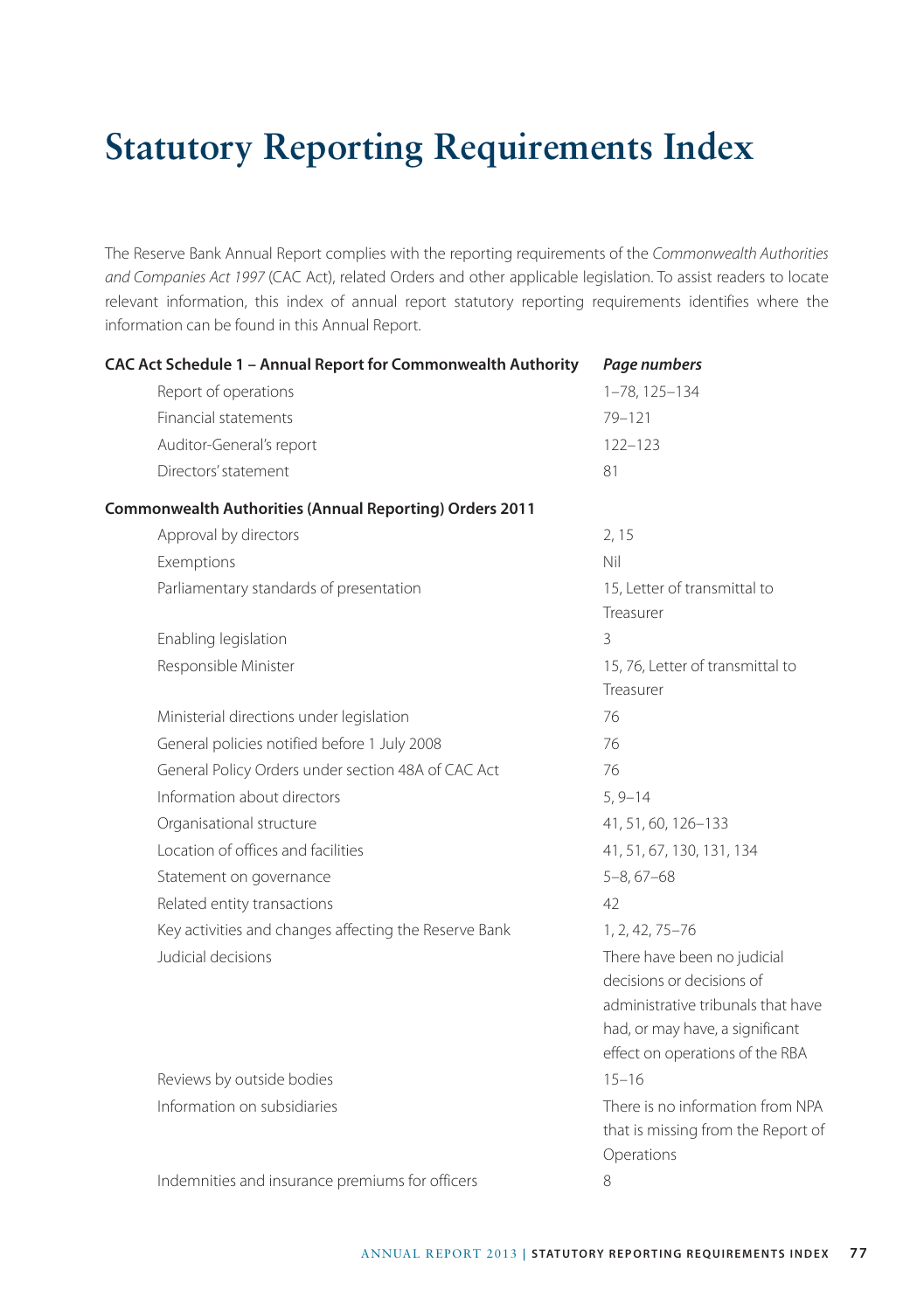## **Statutory Reporting Requirements Index**

The Reserve Bank Annual Report complies with the reporting requirements of the *Commonwealth Authorities and Companies Act 1997* (CAC Act), related Orders and other applicable legislation. To assist readers to locate relevant information, this index of annual report statutory reporting requirements identifies where the information can be found in this Annual Report.

| CAC Act Schedule 1 - Annual Report for Commonwealth Authority  | Page numbers                                                                                                                                                         |
|----------------------------------------------------------------|----------------------------------------------------------------------------------------------------------------------------------------------------------------------|
| Report of operations                                           | 1-78, 125-134                                                                                                                                                        |
| Financial statements                                           | $79 - 121$                                                                                                                                                           |
| Auditor-General's report                                       | $122 - 123$                                                                                                                                                          |
| Directors' statement                                           | 81                                                                                                                                                                   |
| <b>Commonwealth Authorities (Annual Reporting) Orders 2011</b> |                                                                                                                                                                      |
| Approval by directors                                          | 2, 15                                                                                                                                                                |
| Exemptions                                                     | Nil                                                                                                                                                                  |
| Parliamentary standards of presentation                        | 15, Letter of transmittal to<br>Treasurer                                                                                                                            |
| Enabling legislation                                           | 3                                                                                                                                                                    |
| Responsible Minister                                           | 15, 76, Letter of transmittal to<br>Treasurer                                                                                                                        |
| Ministerial directions under legislation                       | 76                                                                                                                                                                   |
| General policies notified before 1 July 2008                   | 76                                                                                                                                                                   |
| General Policy Orders under section 48A of CAC Act             | 76                                                                                                                                                                   |
| Information about directors                                    | $5, 9 - 14$                                                                                                                                                          |
| Organisational structure                                       | 41, 51, 60, 126-133                                                                                                                                                  |
| Location of offices and facilities                             | 41, 51, 67, 130, 131, 134                                                                                                                                            |
| Statement on governance                                        | $5 - 8, 67 - 68$                                                                                                                                                     |
| Related entity transactions                                    | 42                                                                                                                                                                   |
| Key activities and changes affecting the Reserve Bank          | 1, 2, 42, 75-76                                                                                                                                                      |
| Judicial decisions                                             | There have been no judicial<br>decisions or decisions of<br>administrative tribunals that have<br>had, or may have, a significant<br>effect on operations of the RBA |
| Reviews by outside bodies                                      | $15 - 16$                                                                                                                                                            |
| Information on subsidiaries                                    | There is no information from NPA<br>that is missing from the Report of<br>Operations                                                                                 |
| Indemnities and insurance premiums for officers                | 8                                                                                                                                                                    |